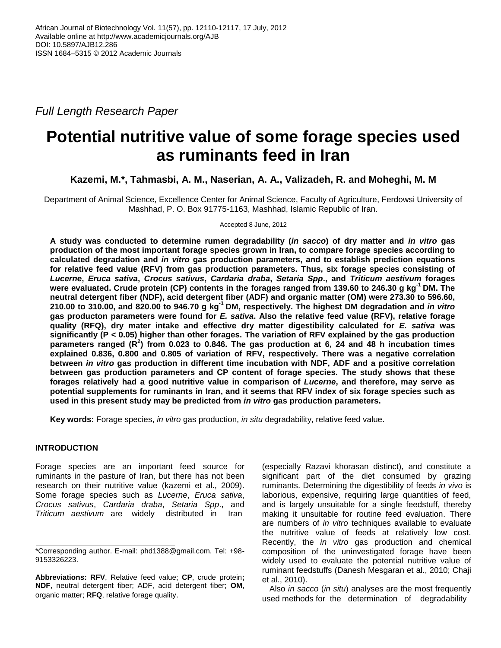*Full Length Research Paper* 

# **Potential nutritive value of some forage species used as ruminants feed in Iran**

**Kazemi, M.\*, Tahmasbi, A. M., Naserian, A. A., Valizadeh, R. and Moheghi, M. M**

Department of Animal Science, Excellence Center for Animal Science, Faculty of Agriculture, Ferdowsi University of Mashhad, P. O. Box 91775-1163, Mashhad, Islamic Republic of Iran.

Accepted 8 June, 2012

**A study was conducted to determine rumen degradability (***in sacco***) of dry matter and** *in vitro* **gas production of the most important forage species grown in Iran, to compare forage species according to calculated degradation and** *in vitro* **gas production parameters, and to establish prediction equations for relative feed value (RFV) from gas production parameters. Thus, six forage species consisting of** *Lucerne***,** *Eruca sativa***,** *Crocus sativus***,** *Cardaria draba***,** *Setaria Spp***., and** *Triticum aestivum* **forages were evaluated. Crude protein (CP) contents in the forages ranged from 139.60 to 246.30 g kg-1 DM. The neutral detergent fiber (NDF), acid detergent fiber (ADF) and organic matter (OM) were 273.30 to 596.60, 210.00 to 310.00, and 820.00 to 946.70 g kg-1 DM, respectively. The highest DM degradation and** *in vitro* **gas producton parameters were found for** *E. sativa***. Also the relative feed value (RFV), relative forage quality (RFQ), dry mater intake and effective dry matter digestibility calculated for** *E. sativa* **was significantly (P < 0.05) higher than other forages. The variation of RFV explained by the gas production parameters ranged (R<sup>2</sup> ) from 0.023 to 0.846. The gas production at 6, 24 and 48 h incubation times explained 0.836, 0.800 and 0.805 of variation of RFV, respectively. There was a negative correlation between** *in vitro* **gas production in different time incubation with NDF, ADF and a positive correlation between gas production parameters and CP content of forage species. The study shows that these forages relatively had a good nutritive value in comparison of** *Lucerne***, and therefore, may serve as potential supplements for ruminants in Iran, and it seems that RFV index of six forage species such as used in this present study may be predicted from** *in vitro* **gas production parameters.**

**Key words:** Forage species, *in vitro* gas production, *in situ* degradability, relative feed value.

## **INTRODUCTION**

Forage species are an important feed source for ruminants in the pasture of Iran, but there has not been research on their nutritive value (kazemi et al., 2009). Some forage species such as *Lucerne*, *Eruca sativa*, *Crocus sativus*, *Cardaria draba*, *Setaria Spp*., and *Triticum aestivum* are widely distributed in Iran

(especially Razavi khorasan distinct), and constitute a significant part of the diet consumed by grazing ruminants. Determining the digestibility of feeds *in vivo* is laborious, expensive, requiring large quantities of feed, and is largely unsuitable for a single feedstuff, thereby making it unsuitable for routine feed evaluation. There are numbers of *in vitro* techniques available to evaluate the nutritive value of feeds at relatively low cost. Recently, the *in vitro* gas production and chemical composition of the uninvestigated forage have been widely used to evaluate the potential nutritive value of ruminant feedstuffs (Danesh Mesgaran et al., 2010; Chaji et al., 2010).

Also *in sacco* (*in situ*) analyses are the most frequently used methods for the determination of degradability

<sup>\*</sup>Corresponding author. E-mail: phd1388@gmail.com. Tel: +98- 9153326223.

**Abbreviations: RFV**, Relative feed value; **CP**, crude protein**; NDF**, neutral detergent fiber; ADF, acid detergent fiber; **OM**, organic matter; **RFQ**, relative forage quality.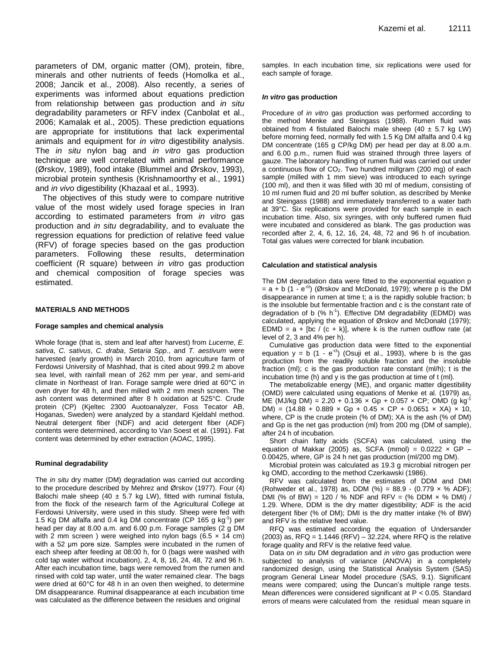parameters of DM, organic matter (OM), protein, fibre, minerals and other nutrients of feeds (Homolka et al., 2008; Jancik et al., 2008). Also recently, a series of experiments was informed about equations prediction from relationship between gas production and *in situ* degradability parameters or RFV index (Canbolat et al., 2006; Kamalak et al., 2005). These prediction equations are appropriate for institutions that lack experimental animals and equipment for *in vitro* digestibility analysis. The *in situ* nylon bag and *in vitro* gas production technique are well correlated with animal performance (Ørskov, 1989), food intake (Blummel and Ørskov, 1993), microbial protein synthesis (Krishnamoorthy et al., 1991) and *in vivo* digestibility (Khazaal et al., 1993).

The objectives of this study were to compare nutritive value of the most widely used forage species in Iran according to estimated parameters from *in vitro* gas production and *in situ* degradability, and to evaluate the regression equations for prediction of relative feed value (RFV) of forage species based on the gas production parameters. Following these results, determination coefficient (R square) between *in vitro* gas production and chemical composition of forage species was estimated.

#### **MATERIALS AND METHODS**

#### **Forage samples and chemical analysis**

Whole forage (that is, stem and leaf after harvest) from *Lucerne*, *E. sativa*, *C. sativus*, *C. draba*, *Setaria Spp*., and *T. aestivum* were harvested (early growth) in March 2010, from agriculture farm of Ferdowsi University of Mashhad, that is cited about 999.2 m above sea level, with rainfall mean of 262 mm per year, and semi-arid climate in Northeast of Iran. Forage sample were dried at 60°C in oven dryer for 48 h, and then milled with 2 mm mesh screen. The ash content was determined after 8 h oxidation at 525°C. Crude protein (CP) (Kjeltec 2300 Auotoanalyzer, Foss Tecator AB, Hoganas, Sweden) were analyzed by a standard Kjeldahl method. Neutral detergent fiber (NDF) and acid detergent fiber (ADF) contents were determined, according to Van Soest et al. (1991). Fat content was determined by ether extraction (AOAC, 1995).

#### **Ruminal degradability**

The *in situ* dry matter (DM) degradation was carried out according to the procedure described by Mehrez and Ørskov (1977). Four (4) Balochi male sheep (40  $\pm$  5.7 kg LW), fitted with ruminal fistula, from the flock of the research farm of the Agricultural College at Ferdowsi University, were used in this study. Sheep were fed with 1.5 Kg DM alfalfa and 0.4 kg DM concentrate (CP 165 g  $kg^{-1}$ ) per head per day at 8.00 a.m. and 6.00 p.m. Forage samples (2 g DM with 2 mm screen ) were weighed into nylon bags (6.5  $\times$  14 cm) with a 52 μm pore size. Samples were incubated in the rumen of each sheep after feeding at 08:00 h, for 0 (bags were washed with cold tap water without incubation), 2, 4, 8, 16, 24, 48, 72 and 96 h. After each incubation time, bags were removed from the rumen and rinsed with cold tap water, until the water remained clear. The bags were dried at 60°C for 48 h in an oven then weighed, to determine DM disappearance. Ruminal disappearance at each incubation time was calculated as the difference between the residues and original

samples. In each incubation time, six replications were used for each sample of forage.

#### *In vitro* **gas production**

Procedure of *in vitro* gas production was performed according to the method Menke and Steingass (1988). Rumen fluid was obtained from 4 fistulated Balochi male sheep  $(40 \pm 5.7 \text{ kg LW})$ before morning feed, normally fed with 1.5 Kg DM alfalfa and 0.4 kg DM concentrate (165 g CP/kg DM) per head per day at 8.00 a.m. and 6.00 p.m., rumen fluid was strained through three layers of gauze. The laboratory handling of rumen fluid was carried out under a continuous flow of  $CO<sub>2</sub>$ . Two hundred millgram (200 mg) of each sample (milled with 1 mm sieve) was introduced to each syringe (100 ml), and then it was filled with 30 ml of medium, consisting of 10 ml rumen fluid and 20 ml buffer solution, as described by Menke and Steingass (1988) and immediately transferred to a water bath at 39°C. Six replications were provided for each sample in each incubation time. Also, six syringes, with only buffered rumen fluid were incubated and considered as blank. The gas production was recorded after 2, 4, 6, 12, 16, 24, 48, 72 and 96 h of incubation. Total gas values were corrected for blank incubation.

#### **Calculation and statistical analysis**

The DM degradation data were fitted to the exponential equation p  $=$  a + b (1 -  $e^{-ct}$ ) (Ørskov and McDonald, 1979); where p is the DM disappearance in rumen at time t; a is the rapidly soluble fraction; b is the insoluble but fermentable fraction and c is the constant rate of degradation of b  $(\% h^1)$ . Effective DM degradability (EDMD) was calculated, applying the equation of Ørskov and McDonald (1979); EDMD =  $a + [bc / (c + k)]$ , where k is the rumen outflow rate (at level of 2, 3 and 4% per h).

Cumulative gas production data were fitted to the exponential equation  $y = b \ (1 - e^{-ct})$  (Osuji et al., 1993), where b is the gas production from the readily soluble fraction and the insoluble fraction (ml); c is the gas production rate constant (ml/h); t is the incubation time (h) and y is the gas production at time of t (ml).

The metabolizable energy (ME), and organic matter digestibility (OMD) were calculated using equations of Menke et al. (1979) as, ME (MJ/kg DM) = 2.20 + 0.136  $\times$  Gp + 0.057  $\times$  CP; OMD (g kg DM) =  $(14.88 + 0.889 \times \text{Gp} + 0.45 \times \text{CP} + 0.0651 \times \text{XA}) \times 10$ , where, CP is the crude protein (% of DM); XA is the ash (% of DM) and Gp is the net gas production (ml) from 200 mg (DM of sample), after 24 h of incubation.

Short chain fatty acids (SCFA) was calculated, using the equation of Makkar (2005) as, SCFA (mmol) =  $0.0222 \times \overline{GP}$  -0.00425, where, GP is 24 h net gas production (ml/200 mg DM).

Microbial protein was calculated as 19.3 g microbial nitrogen per kg OMD, according to the method Czerkawski (1986).

RFV was calculated from the estimates of DDM and DMI (Rohweder et al., 1978) as, DDM (%) = 88.9 - (0.779 × % ADF); DMI (% of BW) = 120 / % NDF and RFV = (% DDM  $\times$  % DMI) / 1.29. Where, DDM is the dry matter digestibility; ADF is the acid detergent fiber (% of DM); DMI is the dry matter intake (% of BW) and RFV is the relative feed value.

RFQ was estimated according the equation of Undersander (2003) as, RFQ = 1.1446 (RFV) – 32.224, where RFQ is the relative forage quality and RFV is the relative feed value.

Data on *in situ* DM degradation and *in vitro* gas production were subjected to analysis of variance (ANOVA) in a completely randomized design, using the Statistical Analysis System (SAS) program General Linear Model procedure (SAS, 9.1). Significant means were compared; using the Duncan's multiple range tests. Mean differences were considered significant at P < 0.05. Standard errors of means were calculated from the residual mean square in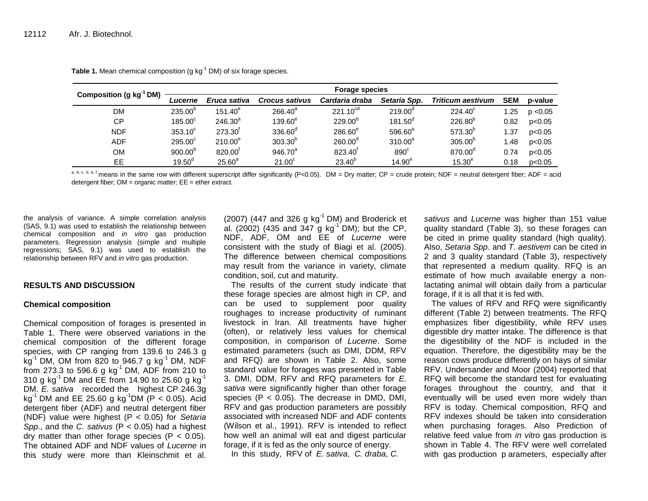| Composition (g kg <sup>-1</sup> DM) |                       |                       |                       | <b>Forage species</b> |                    |                          |            |          |
|-------------------------------------|-----------------------|-----------------------|-----------------------|-----------------------|--------------------|--------------------------|------------|----------|
|                                     | <i><b>Lucerne</b></i> | Eruca sativa          | <b>Crocus sativus</b> | Cardaria draba        | Setaria Spp.       | <b>Triticum aestivum</b> | <b>SEM</b> | p-value  |
| DM                                  | $235.00^{\circ}$      | $151.40^e$            | $266.40^a$            | $221.10^{cd}$         | $219.00^{\circ}$   | $224.40^{\circ}$         | .25        | p < 0.05 |
| <b>CP</b>                           | $185.00^\circ$        | $246.30^a$            | $139.60^e$            | $229.00^{p}$          | $181.50^{\circ}$   | $226.80^{6}$             | 0.82       | p<0.05   |
| <b>NDF</b>                          | $353.10^{\circ}$      | $273.30$ <sup>r</sup> | $336.60^\circ$        | $286.60^e$            | $596.60^{a}$       | 573.30 <sup>b</sup>      | .37        | p<0.05   |
| <b>ADF</b>                          | $295.00^{\circ}$      | $210.00^e$            | $303.30^{b}$          | 260.00 <sup>d</sup>   | $310.00^a$         | 305.00 <sup>b</sup>      | .48        | p<0.05   |
| OМ                                  | $900.00^{b}$          | 820.00                | $946.70^{a}$          | 823.40                | $890^\circ$        | 870.00 <sup>°</sup>      | 0.74       | p<0.05   |
| EE.                                 | 19.50 <sup>d</sup>    | $25.60^{\circ}$       | 21.00 <sup>c</sup>    | $23.40^{\circ}$       | 14.90 <sup>e</sup> | 15.30 <sup>e</sup>       | 0.18       | p<0.05   |

**Table 1.** Mean chemical composition (g kg<sup>-1</sup> DM) of six forage species.

a, b, c, d, e, f means in the same row with different superscript differ significantly (P<0.05). DM = Dry matter; CP = crude protein; NDF = neutral detergent fiber; ADF = acid detergent fiber;  $OM =$  organic matter;  $EE =$  ether extract.

the analysis of variance. A simple correlation analysis (SAS, 9.1) was used to establish the relationship between chemical composition and *in vitro* gas production parameters. Regression analysis (simple and multiple regressions; SAS, 9.1) was used to establish the relationship between RFV and *in vitro* gas production.

#### **RESULTS AND DISCUSSION**

#### **Chemical composition**

Chemical composition of forages is presented in Table 1. There were observed variations in the chemical composition of the different forage species, with CP ranging from 139.6 to 246.3 g kg<sup>-1</sup> DM, OM from 820 to 946.7 g kg<sup>-1</sup> DM, NDF from 273.3 to 596.6 g  $kg^{-1}$  DM, ADF from 210 to 310 g kg<sup>-1</sup> DM and EE from 14.90 to 25.60 g kg<sup>-1</sup> DM. *E. sativa* recorded the highest CP 246.3g kg<sup>-1</sup> DM and EE 25.60 g kg<sup>-1</sup>DM (P < 0.05). Acid detergent fiber (ADF) and neutral detergent fiber (NDF) value were highest (P < 0.05) for *Setaria Spp*., and the *C. sativus* (P < 0.05) had a highest dry matter than other forage species  $(P < 0.05)$ . The obtained ADF and NDF values of *Lucerne* in this study were more than Kleinschmit et al.

(2007) (447 and 326 g kg $^{-1}$  DM) and Broderick et al. (2002) (435 and 347 g  $kg^{-1}$  DM); but the CP, NDF, ADF, OM and EE of *Lucerne* were consistent with the study of Biagi et al. (2005). The difference between chemical compositions may result from the variance in variety, climate condition, soil, cut and maturity.

The results of the current study indicate that these forage species are almost high in CP, and can be used to supplement poor quality roughages to increase productivity of ruminant livestock in Iran. All treatments have higher (often), or relatively less values for chemical composition, in comparison of *Lucerne*. Some estimated parameters (such as DMI, DDM, RFV and RFQ) are shown in Table 2. Also, some standard value for forages was presented in Table 3. DMI, DDM, RFV and RFQ parameters for *E. sativa* were significantly higher than other forage species ( $P < 0.05$ ). The decrease in DMD, DMI, RFV and gas production parameters are possibly associated with increased NDF and ADF contents (Wilson et al., 1991). RFV is intended to reflect how well an animal will eat and digest particular forage, if it is fed as the only source of energy.

In this study, RFV of *E. sativa*, *C. draba*, *C.* 

*sativus* and *Lucerne* was higher than 151 value quality standard (Table 3), so these forages can be cited in prime quality standard (high quality). Also, *Setaria Spp*. and *T. aestivem* can be cited in 2 and 3 quality standard (Table 3), respectively that represented a medium quality. RFQ is an estimate of how much available energy a nonlactating animal will obtain daily from a particular forage, if it is all that it is fed with.

The values of RFV and RFQ were significantly different (Table 2) between treatments. The RFQ emphasizes fiber digestibility, while RFV uses digestible dry matter intake. The difference is that the digestibility of the NDF is included in the equation. Therefore, the digestibility may be the reason cows produce differently on hays of similar RFV. Undersander and Moor (2004) reported that RFQ will become the standard test for evaluating forages throughout the country, and that it eventually will be used even more widely than RFV is today. Chemical composition, RFQ and RFV indexes should be taken into consideration when purchasing forages. Also Prediction of relative feed value from *in vitro* gas production is shown in Table 4. The RFV were well correlated with gas production p arameters, especially after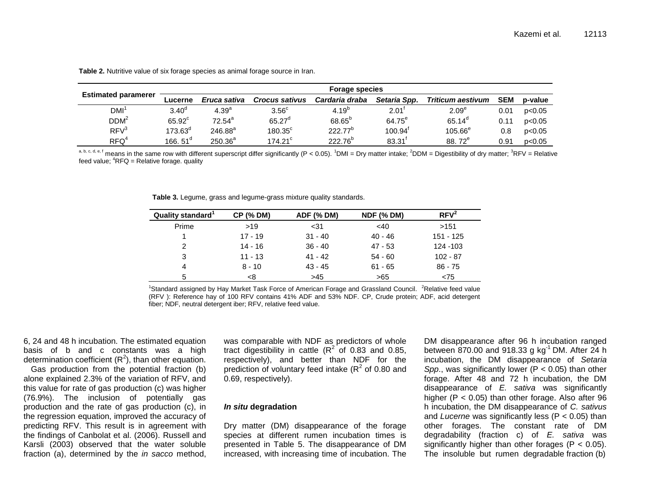|                            |                 |                   |                       | <b>Forage species</b> |                       |                          |            |         |
|----------------------------|-----------------|-------------------|-----------------------|-----------------------|-----------------------|--------------------------|------------|---------|
| <b>Estimated paramerer</b> | Lucerne         | Eruca sativa      | <b>Crocus sativus</b> | Cardaria draba        | Setaria Spp.          | <b>Triticum aestivum</b> | <b>SEM</b> | p-value |
| $DMI^1$                    | $3.40^\circ$    | 4.39 <sup>a</sup> | $3.56^{\circ}$        | $4.19^{p}$            | 2.01                  | 2.09 <sup>e</sup>        | 0.01       | p<0.05  |
| DDM <sup>2</sup>           | $65.92^{\circ}$ | $72.54^a$         | $65.27^d$             | $68.65^{b}$           | $64.75^e$             | $65.14^{\circ}$          | 0.11       | p<0.05  |
| RFV <sup>3</sup>           | $173.63^d$      | $246.88^{a}$      | $180.35^{\circ}$      | $222.77^b$            | $100.94$ <sup>t</sup> | $105.66^{\circ}$         | 0.8        | p<0.05  |
| RFO <sup>4</sup>           | 166.51 $^{d}$   | $250.36^{a}$      | $174.21$ <sup>c</sup> | $222.76^{b}$          | $83.31$ <sup>f</sup>  | 88.72 <sup>e</sup>       | 0.91       | p<0.05  |

**Table 2.** Nutritive value of six forage species as animal forage source in Iran.

a, b, c, d, e, f means in the same row with different superscript differ significantly (P < 0.05). <sup>1</sup>DMI = Dry matter intake; <sup>2</sup>DDM = Digestibility of dry matter; <sup>3</sup>RFV = Relative feed value;  ${}^{4}$ RFQ = Relative forage. quality

**Table 3.** Legume, grass and legume-grass mixture quality standards.

| Quality standard <sup>1</sup> | <b>CP (% DM)</b> | <b>ADF (% DM)</b> | <b>NDF (% DM)</b> | RFV <sup>2</sup> |
|-------------------------------|------------------|-------------------|-------------------|------------------|
| Prime                         | >19              | $31$              | $<$ 40            | >151             |
|                               | $17 - 19$        | $31 - 40$         | $40 - 46$         | $151 - 125$      |
| 2                             | 14 - 16          | $36 - 40$         | $47 - 53$         | 124 - 103        |
| 3                             | $11 - 13$        | $41 - 42$         | $54 - 60$         | $102 - 87$       |
| 4                             | $8 - 10$         | $43 - 45$         | $61 - 65$         | $86 - 75$        |
| 5                             | <8               | >45               | >65               | < 75             |

<sup>1</sup>Standard assigned by Hay Market Task Force of American Forage and Grassland Council. <sup>2</sup>Relative feed value (RFV ): Reference hay of 100 RFV contains 41% ADF and 53% NDF. CP, Crude protein; ADF, acid detergent fiber; NDF, neutral detergent iber; RFV, relative feed value.

6, 24 and 48 h incubation. The estimated equation basis of b and c constants was a high determination coefficient  $(R^2)$ , than other equation.

Gas production from the potential fraction (b) alone explained 2.3% of the variation of RFV, and this value for rate of gas production (c) was higher (76.9%). The inclusion of potentially gas production and the rate of gas production (c), in the regression equation, improved the accuracy of predicting RFV. This result is in agreement with the findings of Canbolat et al. (2006). Russell and Karsli (2003) observed that the water soluble fraction (a), determined by the *in sacco* method,

was comparable with NDF as predictors of whole tract digestibility in cattle  $(R^2$  of 0.83 and 0.85, respectively), and better than NDF for the prediction of voluntary feed intake  $(R^2$  of 0.80 and 0.69, respectively).

#### *In situ* **degradation**

Dry matter (DM) disappearance of the forage species at different rumen incubation times is presented in Table 5. The disappearance of DM increased, with increasing time of incubation. The

DM disappearance after 96 h incubation ranged between 870.00 and 918.33 g  $kg^{-1}$  DM. After 24 h incubation, the DM disappearance of *Setaria Spp*., was significantly lower (P < 0.05) than other forage. After 48 and 72 h incubation, the DM disappearance of *E. sativa* was significantly higher (P < 0.05) than other forage. Also after 96 h incubation, the DM disappearance of *C. sativus* and *Lucerne* was significantly less (P < 0.05) than other forages. The constant rate of DM degradability (fraction c) of *E. sativa* was significantly higher than other forages (P < 0.05). The insoluble but rumen degradable fraction (b)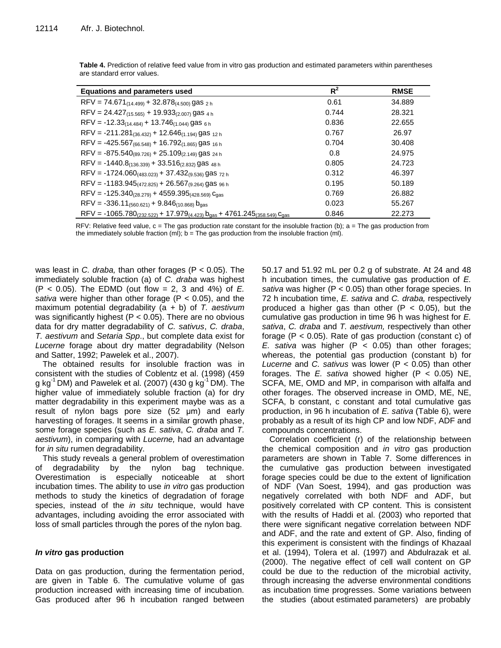| <b>Equations and parameters used</b>                                                    | $R^2$ | <b>RMSE</b> |
|-----------------------------------------------------------------------------------------|-------|-------------|
| RFV = $74.671_{(14.499)} + 32.878_{(4.500)}$ gas $_{2h}$                                | 0.61  | 34.889      |
| RFV = $24.427_{(15.565)} + 19.933_{(2.007)}$ gas $_{4 h}$                               | 0.744 | 28.321      |
| RFV = -12.33(14.484) + 13.746(1.044) gas 6 h                                            | 0.836 | 22.655      |
| RFV = -211.281(36.432) + 12.646(1.194) gas 12 h                                         | 0.767 | 26.97       |
| RFV = $-425.567_{(66.548)} + 16.792_{(1.865)}$ gas <sub>16h</sub>                       | 0.704 | 30.408      |
| RFV = $-875.540_{(89.726)} + 25.109_{(2.149)}$ gas 24 h                                 | 0.8   | 24.975      |
| $RFV = -1440.8(136.339) + 33.516(2.832)$ gas 48 h                                       | 0.805 | 24.723      |
| RFV = -1724.060(483.023) + 37.432(9.536) gas $72 h$                                     | 0.312 | 46.397      |
| RFV = -1183.945 <sub>(472.825)</sub> + 26.567 <sub>(9.264)</sub> gas <sub>96 h</sub>    | 0.195 | 50.189      |
| $RFV = -125.340_{(28.279)} + 4559.395_{(428.569)}$ Cgas                                 | 0.769 | 26.882      |
| $RFV = -336.11_{(560.621)} + 9.846_{(10.868)} b_{gas}$                                  | 0.023 | 55.267      |
| $RFV = -1065.780_{(232.522)} + 17.979_{(4.423)} b_{gas} + 4761.245_{(358.549)} c_{gas}$ | 0.846 | 22.273      |

**Table 4.** Prediction of relative feed value from in vitro gas production and estimated parameters within parentheses are standard error values.

RFV: Relative feed value,  $c =$  The gas production rate constant for the insoluble fraction (b);  $a =$  The gas production from the immediately soluble fraction (ml);  $b =$  The gas production from the insoluble fraction (ml).

was least in *C. draba,* than other forages (P < 0.05). The immediately soluble fraction (a) of *C. draba* was highest (P < 0.05). The EDMD (out flow = 2, 3 and 4%) of *E. sativa* were higher than other forage (P < 0.05), and the maximum potential degradability (a + b) of *T. aestivum* was significantly highest ( $P < 0.05$ ). There are no obvious data for dry matter degradability of *C. sativus*, *C. draba*, *T. aestivum* and *Setaria Spp*., but complete data exist for *Lucerne* forage about dry matter degradability (Nelson and Satter, 1992; Pawelek et al., 2007).

The obtained results for insoluble fraction was in consistent with the studies of Coblentz et al. (1998) (459 g kg<sup>-1</sup> DM) and Pawelek et al. (2007) (430 g kg<sup>-1</sup> DM). The higher value of immediately soluble fraction (a) for dry matter degradability in this experiment maybe was as a result of nylon bags pore size (52 μm) and early harvesting of forages. It seems in a similar growth phase, some forage species (such as *E. sativa*, *C. draba* and *T. aestivum*), in comparing with *Lucerne,* had an advantage for *in situ* rumen degradability.

This study reveals a general problem of overestimation of degradability by the nylon bag technique. Overestimation is especially noticeable at short incubation times. The ability to use *in vitro* gas production methods to study the kinetics of degradation of forage species, instead of the *in situ* technique, would have advantages, including avoiding the error associated with loss of small particles through the pores of the nylon bag.

## *In vitro* **gas production**

Data on gas production, during the fermentation period, are given in Table 6. The cumulative volume of gas production increased with increasing time of incubation. Gas produced after 96 h incubation ranged between 50.17 and 51.92 mL per 0.2 g of substrate. At 24 and 48 h incubation times, the cumulative gas production of *E. sativa* was higher (P < 0.05) than other forage species. In 72 h incubation time, *E. sativa* and *C. draba,* respectively produced a higher gas than other  $(P < 0.05)$ , but the cumulative gas production in time 96 h was highest for *E. sativa*, *C. draba* and *T. aestivum,* respectively than other forage (P < 0.05). Rate of gas production (constant c) of *E. sativa* was higher (P < 0.05) than other forages; whereas, the potential gas production (constant b) for *Lucerne* and *C. sativus* was lower (P < 0.05) than other forages. The *E. sativa* showed higher (P < 0.05) NE, SCFA, ME, OMD and MP, in comparison with alfalfa and other forages. The observed increase in OMD, ME, NE, SCFA, b constant, c constant and total cumulative gas production, in 96 h incubation of *E. sativa* (Table 6), were probably as a result of its high CP and low NDF, ADF and compounds concentrations.

Correlation coefficient (r) of the relationship between the chemical composition and *in vitro* gas production parameters are shown in Table 7. Some differences in the cumulative gas production between investigated forage species could be due to the extent of lignification of NDF (Van Soest, 1994), and gas production was negatively correlated with both NDF and ADF, but positively correlated with CP content. This is consistent with the results of Haddi et al. (2003) who reported that there were significant negative correlation between NDF and ADF, and the rate and extent of GP. Also, finding of this experiment is consistent with the findings of Khazaal et al. (1994), Tolera et al. (1997) and Abdulrazak et al. (2000). The negative effect of cell wall content on GP could be due to the reduction of the microbial activity, through increasing the adverse environmental conditions as incubation time progresses. Some variations between the studies (about estimated parameters) are probably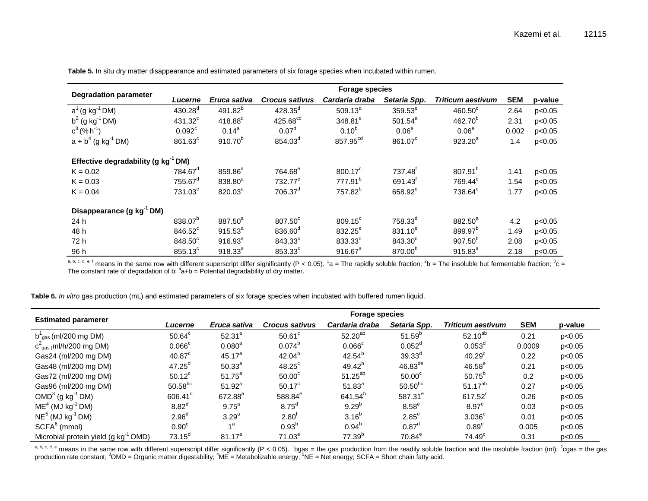|                                                 |                       |                     |                       | <b>Forage species</b> |                     |                     |            |         |
|-------------------------------------------------|-----------------------|---------------------|-----------------------|-----------------------|---------------------|---------------------|------------|---------|
| <b>Degradation parameter</b>                    | <i><b>Lucerne</b></i> | Eruca sativa        | <b>Crocus sativus</b> | Cardaria draba        | Setaria Spp.        | Triticum aestivum   | <b>SEM</b> | p-value |
| $a^1$ (g kg <sup>-1</sup> DM)                   | $430.28^{d}$          | 491.82 <sup>b</sup> | $428.35^{d}$          | $509.13^{a}$          | $359.53^e$          | $460.50^\circ$      | 2.64       | p<0.05  |
| $b^2$ (g kg <sup>-1</sup> DM)                   | $431.32^c$            | $418.88^{d}$        | 425.68 <sup>cd</sup>  | $348.81^{\circ}$      | $501.54^a$          | $462.70^{b}$        | 2.31       | p<0.05  |
| $c^3$ (% h <sup>-1</sup> )                      | 0.092 <sup>c</sup>    | $0.14^{a}$          | 0.07 <sup>d</sup>     | $0.10^{b}$            | 0.06 <sup>e</sup>   | 0.06 <sup>e</sup>   | 0.002      | p<0.05  |
| $a + b4$ (g kg <sup>-1</sup> DM)                | $861.63^\circ$        | $910.70^{b}$        | 854.03 <sup>d</sup>   | 857.95 <sup>cd</sup>  | 861.07 <sup>c</sup> | $923.20^{a}$        | 1.4        | p<0.05  |
| Effective degradability (g kg <sup>-1</sup> DM) |                       |                     |                       |                       |                     |                     |            |         |
| $K = 0.02$                                      | 784.67 <sup>d</sup>   | 859.86 <sup>a</sup> | 764.68 <sup>e</sup>   | $800.17^{\circ}$      | 737.48 <sup>t</sup> | 807.91 <sup>b</sup> | 1.41       | p<0.05  |
| $K = 0.03$                                      | $755.67$ <sup>d</sup> | 838.80 <sup>a</sup> | 732.77 <sup>e</sup>   | 777.91 <sup>b</sup>   | 691.43 <sup>f</sup> | 769.44 <sup>c</sup> | 1.54       | p<0.05  |
| $K = 0.04$                                      | $731.03^{\circ}$      | $820.03^a$          | 706.37 <sup>d</sup>   | 757.82 <sup>b</sup>   | 658.92 <sup>e</sup> | 738.64 <sup>c</sup> | 1.77       | p<0.05  |
| Disappearance (g kg <sup>-1</sup> DM)           |                       |                     |                       |                       |                     |                     |            |         |
| 24 h                                            | 838.07 <sup>b</sup>   | 887.50 <sup>a</sup> | 807.50°               | $809.15^{\circ}$      | 758.33 <sup>d</sup> | 882.50 <sup>a</sup> | 4.2        | p<0.05  |
| 48 h                                            | 846.52 <sup>c</sup>   | $915.53^{a}$        | 836.60 <sup>d</sup>   | 832.25 <sup>e</sup>   | $831.10^{e}$        | 899.97 <sup>b</sup> | 1.49       | p<0.05  |
| 72 h                                            | $848.50^\circ$        | $916.93^{a}$        | $843.33^\circ$        | $833.33^{d}$          | $843.30^\circ$      | $907.50^{p}$        | 2.08       | p<0.05  |
| 96 h                                            | $855.13^{\circ}$      | $918.33^{a}$        | 853.33 <sup>c</sup>   | $916.67^a$            | 870.00 <sup>b</sup> | $915.83^{a}$        | 2.18       | p<0.05  |

**Table 5.** In situ dry matter disappearance and estimated parameters of six forage species when incubated within rumen.

a, b, c, d, e, f means in the same row with different superscript differ significantly (P < 0.05). <sup>1</sup>a = The rapidly soluble fraction; <sup>2</sup>b = The insoluble but fermentable fraction; <sup>3</sup>c =<br>The constant rate of degradation

**Table 6.** *In vitro* gas production (mL) and estimated parameters of six forage species when incubated with buffered rumen liquid.

|                                                  |                    |                   |                       | <b>Forage species</b> |                       |                          |            |         |
|--------------------------------------------------|--------------------|-------------------|-----------------------|-----------------------|-----------------------|--------------------------|------------|---------|
| <b>Estimated paramerer</b>                       | Lucerne            | Eruca sativa      | <b>Crocus sativus</b> | Cardaria draba        | Setaria Spp.          | <b>Triticum aestivum</b> | <b>SEM</b> | p-value |
| $b^1_{gas}$ (ml/200 mg DM)                       | $50.64^c$          | $52.31^{a}$       | $50.61^{\circ}$       | $52.20^{ab}$          | $51.59^{b}$           | $52.10^{ab}$             | 0.21       | p<0.05  |
| $c^2$ <sub>gas (</sub> ml/h/200 mg DM)           | $0.066$ $c$        | $0.080^{a}$       | $0.074^{b}$           | $0.066^{\circ}$       | $0.052^{\circ}$       | $0.053^d$                | 0.0009     | p<0.05  |
| Gas24 (ml/200 mg DM)                             | 40.87 <sup>c</sup> | $45.17^{a}$       | $42.04^{b}$           | $42.54^{b}$           | $39.33^{d}$           | 40.29 <sup>c</sup>       | 0.22       | p<0.05  |
| Gas48 (ml/200 mg DM)                             | $47.25^{\circ}$    | $50.33^{a}$       | $48.25^{\circ}$       | $49.42^{b}$           | $46.83$ <sup>de</sup> | $46.58^{\circ}$          | 0.21       | p<0.05  |
| Gas72 (ml/200 mg DM)                             | $50.12^c$          | $51.75^{a}$       | $50.00^{\circ}$       | $51.25^{ab}$          | 50.00 <sup>c</sup>    | $50.75^{p}$              | 0.2        | p<0.05  |
| Gas96 (ml/200 mg DM)                             | $50.58^{bc}$       | $51.92^{a}$       | $50.17^c$             | $51.83^{a}$           | $50.50^{bc}$          | $51.17^{ab}$             | 0.27       | p<0.05  |
| $OMD3$ (g kg <sup>-1</sup> DM)                   | $606.41^d$         | $672.88^{\circ}$  | 588.84 <sup>e</sup>   | 641.54 <sup>b</sup>   | 587.31 <sup>e</sup>   | $617.52^{\circ}$         | 0.26       | p<0.05  |
| $ME4$ (MJ kg <sup>-1</sup> DM)                   | 8.82 <sup>d</sup>  | $9.75^{\circ}$    | 8.75 <sup>d</sup>     | $9.29^{b}$            | $8.58^e$              | $8.97^{\circ}$           | 0.03       | p<0.05  |
| $NE5$ (MJ kg <sup>-1</sup> DM)                   | 2.96 <sup>d</sup>  | 3.29 <sup>a</sup> | $2.80^{\text{T}}$     | $3.16^{b}$            | $2.85^e$              | 3.036 <sup>c</sup>       | 0.01       | p<0.05  |
| $SCFA6$ (mmol)                                   | 0.90 <sup>c</sup>  | $4^a$             | $0.93^{b}$            | $0.94^{b}$            | $0.87^d$              | 0.89 <sup>c</sup>        | 0.005      | p<0.05  |
| Microbial protein yield (g kg <sup>-1</sup> OMD) | $73.15^{\circ}$    | $81.17^{a}$       | $71.03^e$             | 77.39 <sup>b</sup>    | $70.84^e$             | 74.49 <sup>c</sup>       | 0.31       | p<0.05  |

a, b, c, d, e means in the same row with different superscript differ significantly (P < 0.05). <sup>1</sup>bgas = the gas production from the readily soluble fraction and the insoluble fraction (ml); <sup>2</sup>cgas = the gas<br>production r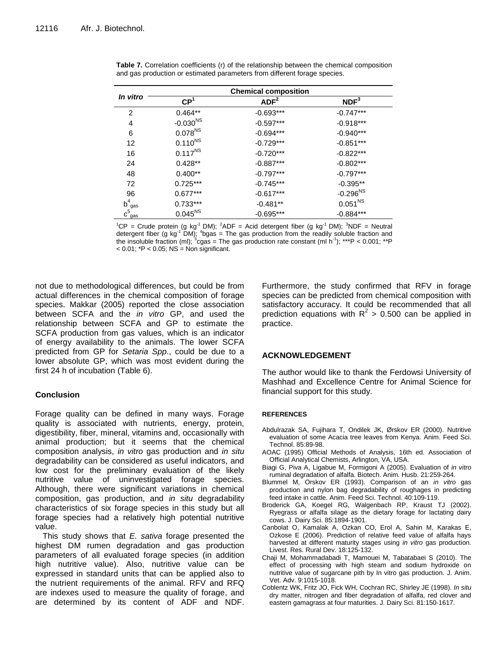|                       |                     | <b>Chemical composition</b> |                  |
|-----------------------|---------------------|-----------------------------|------------------|
| In vitro              | CP <sup>1</sup>     | ADF <sup>2</sup>            | NDF <sup>3</sup> |
| 2                     | $0.464**$           | $-0.693***$                 | $-0.747***$      |
| 4                     | $-0.030^{NS}$       | $-0.597***$                 | $-0.918***$      |
| 6                     | 0.078 <sup>NS</sup> | $-0.694***$                 | $-0.940***$      |
| 12                    | $0.110^{NS}$        | $-0.729***$                 | $-0.851***$      |
| 16                    | $0.117^{NS}$        | $-0.720***$                 | $-0.822***$      |
| 24                    | $0.428**$           | $-0.887***$                 | $-0.802***$      |
| 48                    | $0.400**$           | $-0.797***$                 | $-0.797***$      |
| 72                    | $0.725***$          | $-0.745***$                 | $-0.395**$       |
| 96                    | $0.677***$          | $-0.617***$                 | $-0.296^{NS}$    |
| b <sup>4</sup><br>gas | $0.733***$          | $-0.481**$                  | $0.051^{NS}$     |
| $c_{gas}^5$           | $0.045^{NS}$        | $-0.695***$                 | $-0.884***$      |

**Table 7.** Correlation coefficients (r) of the relationship between the chemical composition and gas production or estimated parameters from different forage species.

<sup>1</sup>CP = Crude protein (g kg<sup>-1</sup> DM); <sup>2</sup>ADF = Acid detergent fiber (g kg<sup>-1</sup> DM); <sup>3</sup>NDF = Neutral detergent fiber (g kg<sup>-1</sup> DM); <sup>4</sup>bgas = The gas production from the readily soluble fraction and the insoluble fraction (ml); <sup>5</sup>cgas = The gas production rate constant (ml h<sup>-1</sup>); \*\*\*P < 0.001; \*\*P  $<$  0.01;  $*$ P  $<$  0.05; NS = Non significant.

not due to methodological differences, but could be from actual differences in the chemical composition of forage species. Makkar (2005) reported the close association between SCFA and the *in vitro* GP, and used the relationship between SCFA and GP to estimate the SCFA production from gas values, which is an indicator of energy availability to the animals. The lower SCFA predicted from GP for *Setaria Spp*., could be due to a lower absolute GP, which was most evident during the first 24 h of incubation (Table 6).

## **Conclusion**

Forage quality can be defined in many ways. Forage quality is associated with nutrients, energy, protein, digestibility, fiber, mineral, vitamins and, occasionally with animal production; but it seems that the chemical composition analysis, *in vitro* gas production and *in situ* degradability can be considered as useful indicators, and low cost for the preliminary evaluation of the likely nutritive value of uninvestigated forage species. Although, there were significant variations in chemical composition, gas production, and *in situ* degradability characteristics of six forage species in this study but all forage species had a relatively high potential nutritive value.

This study shows that *E. sativa* forage presented the highest DM rumen degradation and gas production parameters of all evaluated forage species (in addition high nutritive value). Also, nutritive value can be expressed in standard units that can be applied also to the nutrient requirements of the animal. RFV and RFQ are indexes used to measure the quality of forage, and are determined by its content of ADF and NDF.

Furthermore, the study confirmed that RFV in forage species can be predicted from chemical composition with satisfactory accuracy. It could be recommended that all prediction equations with  $R^2 > 0.500$  can be applied in practice.

## **ACKNOWLEDGEMENT**

The author would like to thank the Ferdowsi University of Mashhad and Excellence Centre for Animal Science for financial support for this study.

### **REFERENCES**

- Abdulrazak SA, Fujihara T, Ondilek JK, Ørskov ER (2000). Nutritive evaluation of some Acacia tree leaves from Kenya. Anim. Feed Sci. Technol. 85:89-98.
- AOAC (1995) Official Methods of Analysis, 16th ed. Association of Official Analytical Chemists, Arlington, VA, USA.
- Biagi G, Piva A, Ligabue M, Formigoni A (2005). Evaluation of *in vitro* ruminal degradation of alfalfa. Biotech. Anim. Husb. 21:259-264.
- Blummel M, Orskov ER (1993). Comparison of an *in vitro* gas production and nylon bag degradability of roughages in predicting feed intake in cattle. Anim. Feed Sci. Technol. 40:109-119.
- Broderick GA, Koegel RG, Walgenbach RP, Kraust TJ (2002). Ryegrass or alfalfa silage as the dietary forage for lactating dairy cows. J. Dairy Sci. 85:1894-1901.
- Canbolat O, Kamalak A, Ozkan CO, Erol A, Sahin M, Karakas E, Ozkose E (2006). Prediction of relative feed value of alfalfa hays harvested at different maturity stages using *in vitro* gas production. Livest. Res. Rural Dev. [18:125-132.](http://www.lrrd.org/lrrd18/2/cont1802.htm)
- Chaji M, Mohammadabadi T, Mamouei M, Tabatabaei S (2010). The effect of processing with high steam and sodium hydroxide on nutritive value of sugarcane pith by In vitro gas production. J. Anim. Vet. Adv. 9:1015-1018.
- Coblentz WK, Fritz JO, Fick WH, Cochran RC, Shirley JE (1998). *In situ* dry matter, nitrogen and fiber degradation of alfalfa, red clover and eastern gamagrass at four maturities. J. Dairy Sci. 81:150-1617.